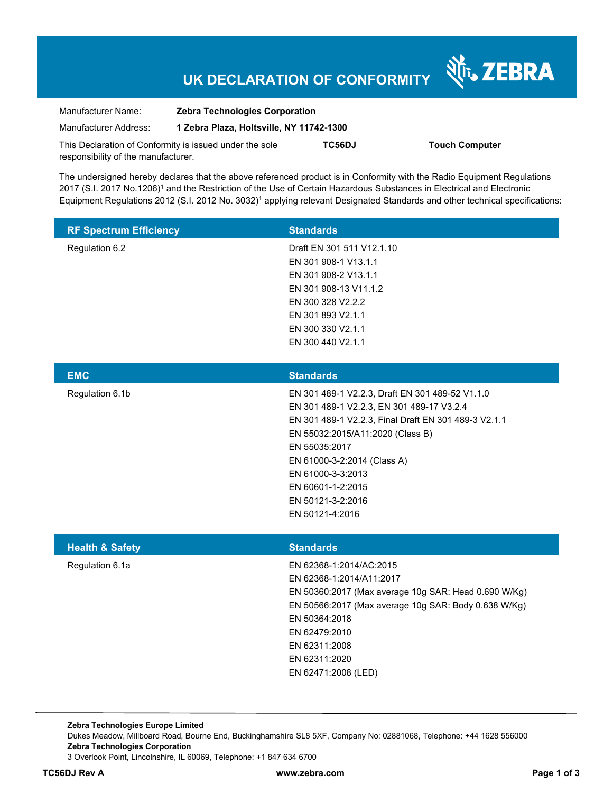# **UK DECLARATION OF CONFORMITY**

Nr. ZEBRA

| Manufacturer Name:                                      | <b>Zebra Technologies Corporation</b>    |        |                       |  |
|---------------------------------------------------------|------------------------------------------|--------|-----------------------|--|
| Manufacturer Address:                                   | 1 Zebra Plaza, Holtsville, NY 11742-1300 |        |                       |  |
| This Declaration of Conformity is issued under the sole |                                          | TC56DJ | <b>Touch Computer</b> |  |
| responsibility of the manufacturer.                     |                                          |        |                       |  |

The undersigned hereby declares that the above referenced product is in Conformity with the Radio Equipment Regulations 2017 (S.I. 2017 No.1206)<sup>1</sup> and the Restriction of the Use of Certain Hazardous Substances in Electrical and Electronic Equipment Regulations 2012 (S.I. 2012 No. 3032)<sup>1</sup> applying relevant Designated Standards and other technical specifications:

| <b>Standards</b>          |
|---------------------------|
| Draft EN 301 511 V12.1.10 |
| EN 301 908-1 V13.1.1      |
| EN 301 908-2 V13.1.1      |
| EN 301 908-13 V11.1.2     |
| EN 300 328 V2.2.2         |
| EN 301 893 V2.1.1         |
| EN 300 330 V2.1.1         |
| EN 300 440 V2.1.1         |
|                           |

| EN 301 489-1 V2.2.3, Draft EN 301 489-52 V1.1.0<br>Regulation 6.1b<br>EN 301 489-1 V2.2.3, EN 301 489-17 V3.2.4<br>EN 301 489-1 V2.2.3, Final Draft EN 301 489-3 V2.1.1<br>EN 55032:2015/A11:2020 (Class B)<br>EN 55035:2017<br>EN 61000-3-2:2014 (Class A)<br>EN 61000-3-3:2013<br>EN 60601-1-2:2015<br>EN 50121-3-2:2016 | <b>EMC</b> | <b>Standards</b> |
|----------------------------------------------------------------------------------------------------------------------------------------------------------------------------------------------------------------------------------------------------------------------------------------------------------------------------|------------|------------------|
|                                                                                                                                                                                                                                                                                                                            |            |                  |
|                                                                                                                                                                                                                                                                                                                            |            |                  |
|                                                                                                                                                                                                                                                                                                                            |            |                  |
|                                                                                                                                                                                                                                                                                                                            |            |                  |
|                                                                                                                                                                                                                                                                                                                            |            |                  |
|                                                                                                                                                                                                                                                                                                                            |            |                  |
|                                                                                                                                                                                                                                                                                                                            |            |                  |
|                                                                                                                                                                                                                                                                                                                            |            |                  |
|                                                                                                                                                                                                                                                                                                                            |            |                  |
|                                                                                                                                                                                                                                                                                                                            |            | EN 50121-4:2016  |

| <b>Health &amp; Safety</b> | <b>Standards</b>                                     |  |
|----------------------------|------------------------------------------------------|--|
| Regulation 6.1a            | EN 62368-1:2014/AC:2015                              |  |
|                            | EN 62368-1:2014/A11:2017                             |  |
|                            | EN 50360:2017 (Max average 10g SAR: Head 0.690 W/Kg) |  |
|                            | EN 50566:2017 (Max average 10g SAR: Body 0.638 W/Kg) |  |
|                            | EN 50364:2018                                        |  |
|                            | EN 62479:2010                                        |  |
|                            | EN 62311:2008                                        |  |
|                            | EN 62311:2020                                        |  |
|                            | EN 62471:2008 (LED)                                  |  |

**Zebra Technologies Europe Limited**  Dukes Meadow, Millboard Road, Bourne End, Buckinghamshire SL8 5XF, Company No: 02881068, Telephone: +44 1628 556000 **Zebra Technologies Corporation**  3 Overlook Point, Lincolnshire, IL 60069, Telephone: +1 847 634 6700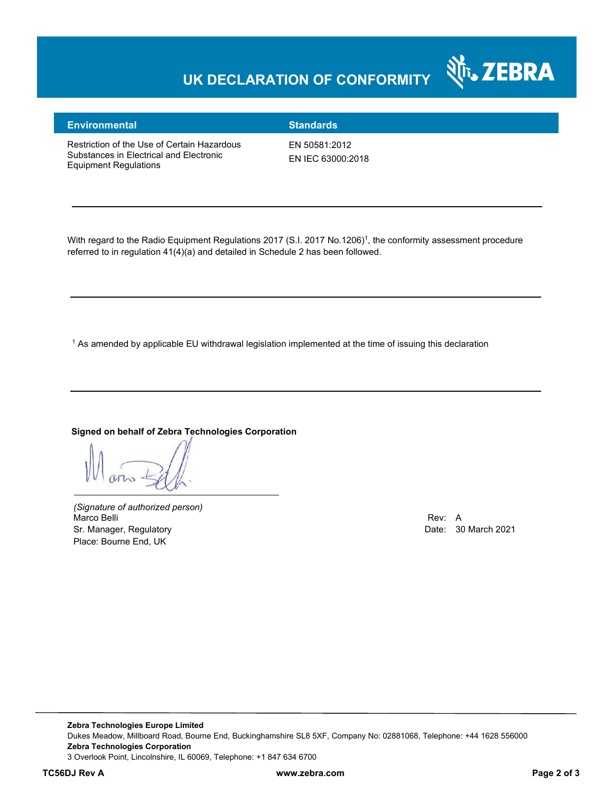# **UK DECLARATION OF CONFORMITY**



### **Environmental Standards**

Restriction of the Use of Certain Hazardous Substances in Electrical and Electronic Equipment Regulations

EN 50581:2012 EN IEC 63000:2018

With regard to the Radio Equipment Regulations 2017 (S.I. 2017 No.1206)<sup>1</sup>, the conformity assessment procedure referred to in regulation 41(4)(a) and detailed in Schedule 2 has been followed.

 $^{\rm 1}$  As amended by applicable EU withdrawal legislation implemented at the time of issuing this declaration

#### **Signed on behalf of Zebra Technologies Corporation**

*(Signature of authorized person)* Marco Belli Rev: A Sr. Manager, Regulatory **Date: 30 March 2021** Place: Bourne End, UK